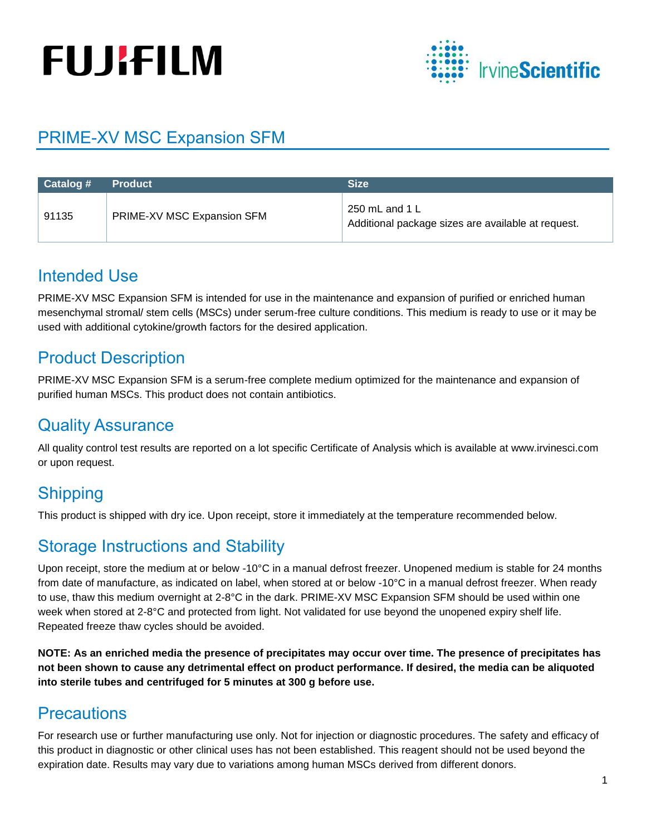# **FUJIFILM**



## PRIME-XV MSC Expansion SFM

| Catalog # | <b>Product</b>             | <b>Size</b>                                                          |
|-----------|----------------------------|----------------------------------------------------------------------|
| 91135     | PRIME-XV MSC Expansion SFM | 250 mL and 1 L<br>Additional package sizes are available at request. |

## Intended Use

PRIME-XV MSC Expansion SFM is intended for use in the maintenance and expansion of purified or enriched human mesenchymal stromal/ stem cells (MSCs) under serum-free culture conditions. This medium is ready to use or it may be used with additional cytokine/growth factors for the desired application.

## Product Description

PRIME-XV MSC Expansion SFM is a serum-free complete medium optimized for the maintenance and expansion of purified human MSCs. This product does not contain antibiotics.

## Quality Assurance

All quality control test results are reported on a lot specific Certificate of Analysis which is available at www.irvinesci.com or upon request.

# **Shipping**

This product is shipped with dry ice. Upon receipt, store it immediately at the temperature recommended below.

## Storage Instructions and Stability

Upon receipt, store the medium at or below -10°C in a manual defrost freezer. Unopened medium is stable for 24 months from date of manufacture, as indicated on label, when stored at or below -10°C in a manual defrost freezer. When ready to use, thaw this medium overnight at 2-8°C in the dark. PRIME-XV MSC Expansion SFM should be used within one week when stored at 2-8°C and protected from light. Not validated for use beyond the unopened expiry shelf life. Repeated freeze thaw cycles should be avoided.

**NOTE: As an enriched media the presence of precipitates may occur over time. The presence of precipitates has not been shown to cause any detrimental effect on product performance. If desired, the media can be aliquoted into sterile tubes and centrifuged for 5 minutes at 300 g before use.**

## **Precautions**

For research use or further manufacturing use only. Not for injection or diagnostic procedures. The safety and efficacy of this product in diagnostic or other clinical uses has not been established. This reagent should not be used beyond the expiration date. Results may vary due to variations among human MSCs derived from different donors.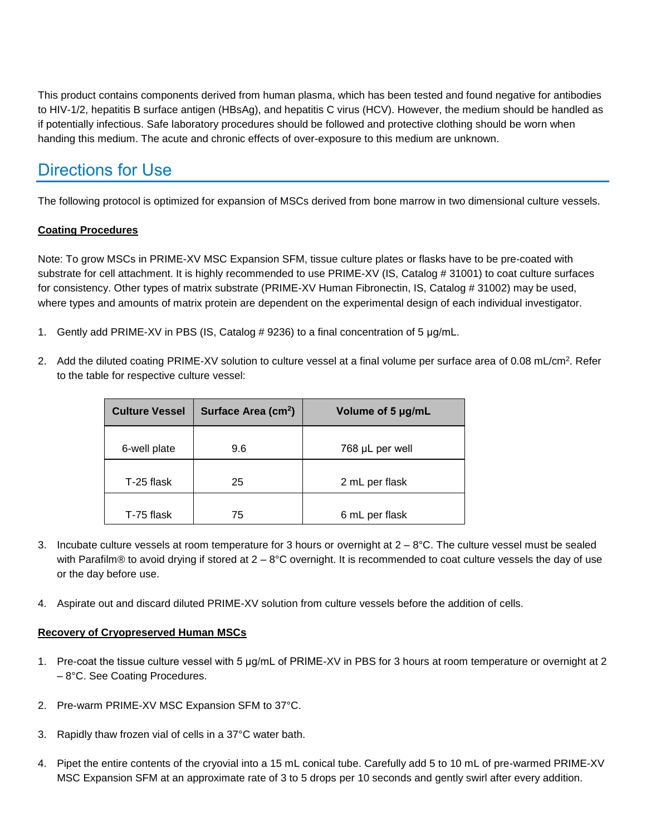This product contains components derived from human plasma, which has been tested and found negative for antibodies to HIV-1/2, hepatitis B surface antigen (HBsAg), and hepatitis C virus (HCV). However, the medium should be handled as if potentially infectious. Safe laboratory procedures should be followed and protective clothing should be worn when handing this medium. The acute and chronic effects of over-exposure to this medium are unknown.

## Directions for Use

The following protocol is optimized for expansion of MSCs derived from bone marrow in two dimensional culture vessels.

#### **Coating Procedures**

Note: To grow MSCs in PRIME-XV MSC Expansion SFM, tissue culture plates or flasks have to be pre-coated with substrate for cell attachment. It is highly recommended to use PRIME-XV (IS, Catalog # 31001) to coat culture surfaces for consistency. Other types of matrix substrate (PRIME-XV Human Fibronectin, IS, Catalog # 31002) may be used, where types and amounts of matrix protein are dependent on the experimental design of each individual investigator.

- 1. Gently add PRIME-XV in PBS (IS, Catalog # 9236) to a final concentration of 5 μg/mL.
- 2. Add the diluted coating PRIME-XV solution to culture vessel at a final volume per surface area of 0.08 mL/cm<sup>2</sup>. Refer to the table for respective culture vessel:

| Surface Area (cm <sup>2</sup> ) | Volume of 5 µg/mL |
|---------------------------------|-------------------|
|                                 | 768 µL per well   |
|                                 |                   |
| 25                              | 2 mL per flask    |
|                                 | 6 mL per flask    |
|                                 | 9.6<br>75         |

- 3. Incubate culture vessels at room temperature for 3 hours or overnight at  $2-8$ °C. The culture vessel must be sealed with Parafilm® to avoid drying if stored at  $2 - 8$ °C overnight. It is recommended to coat culture vessels the day of use or the day before use.
- 4. Aspirate out and discard diluted PRIME-XV solution from culture vessels before the addition of cells.

#### **Recovery of Cryopreserved Human MSCs**

- 1. Pre-coat the tissue culture vessel with 5 µg/mL of PRIME-XV in PBS for 3 hours at room temperature or overnight at 2 – 8°C. See Coating Procedures.
- 2. Pre-warm PRIME-XV MSC Expansion SFM to 37°C.
- 3. Rapidly thaw frozen vial of cells in a 37°C water bath.
- 4. Pipet the entire contents of the cryovial into a 15 mL conical tube. Carefully add 5 to 10 mL of pre-warmed PRIME-XV MSC Expansion SFM at an approximate rate of 3 to 5 drops per 10 seconds and gently swirl after every addition.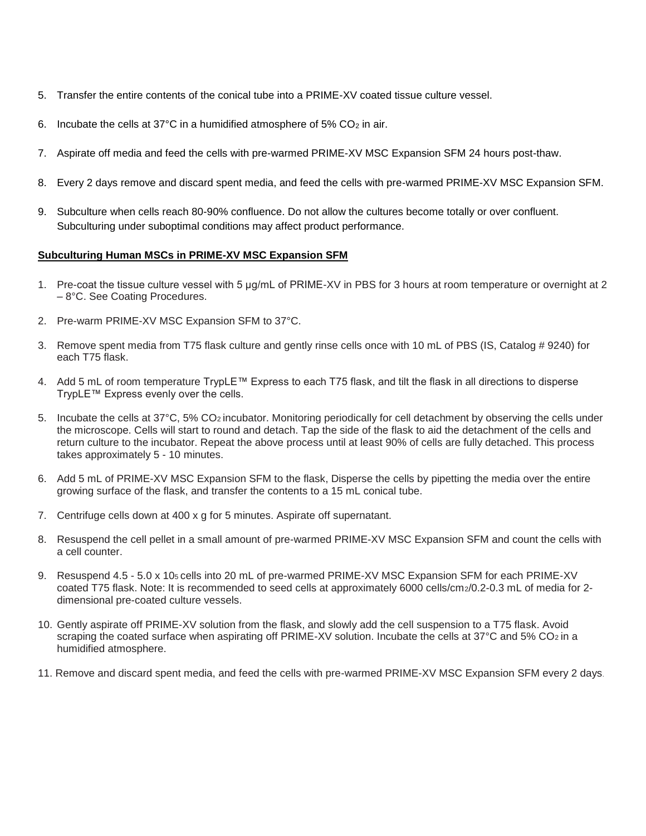- 5. Transfer the entire contents of the conical tube into a PRIME-XV coated tissue culture vessel.
- 6. Incubate the cells at 37°C in a humidified atmosphere of 5%  $CO<sub>2</sub>$  in air.
- 7. Aspirate off media and feed the cells with pre-warmed PRIME-XV MSC Expansion SFM 24 hours post-thaw.
- 8. Every 2 days remove and discard spent media, and feed the cells with pre-warmed PRIME-XV MSC Expansion SFM.
- 9. Subculture when cells reach 80-90% confluence. Do not allow the cultures become totally or over confluent. Subculturing under suboptimal conditions may affect product performance.

#### **Subculturing Human MSCs in PRIME-XV MSC Expansion SFM**

- 1. Pre-coat the tissue culture vessel with 5 µg/mL of PRIME-XV in PBS for 3 hours at room temperature or overnight at 2 – 8°C. See Coating Procedures.
- 2. Pre-warm PRIME-XV MSC Expansion SFM to 37°C.
- 3. Remove spent media from T75 flask culture and gently rinse cells once with 10 mL of PBS (IS, Catalog # 9240) for each T75 flask.
- 4. Add 5 mL of room temperature TrypLE™ Express to each T75 flask, and tilt the flask in all directions to disperse TrypLE™ Express evenly over the cells.
- 5. Incubate the cells at 37°C, 5% CO2 incubator. Monitoring periodically for cell detachment by observing the cells under the microscope. Cells will start to round and detach. Tap the side of the flask to aid the detachment of the cells and return culture to the incubator. Repeat the above process until at least 90% of cells are fully detached. This process takes approximately 5 - 10 minutes.
- 6. Add 5 mL of PRIME-XV MSC Expansion SFM to the flask, Disperse the cells by pipetting the media over the entire growing surface of the flask, and transfer the contents to a 15 mL conical tube.
- 7. Centrifuge cells down at 400 x g for 5 minutes. Aspirate off supernatant.
- 8. Resuspend the cell pellet in a small amount of pre-warmed PRIME-XV MSC Expansion SFM and count the cells with a cell counter.
- 9. Resuspend 4.5 5.0 x 105 cells into 20 mL of pre-warmed PRIME-XV MSC Expansion SFM for each PRIME-XV coated T75 flask. Note: It is recommended to seed cells at approximately 6000 cells/cm2/0.2-0.3 mL of media for 2dimensional pre-coated culture vessels.
- 10. Gently aspirate off PRIME-XV solution from the flask, and slowly add the cell suspension to a T75 flask. Avoid scraping the coated surface when aspirating off PRIME-XV solution. Incubate the cells at 37°C and 5% CO<sub>2</sub> in a humidified atmosphere.
- 11. Remove and discard spent media, and feed the cells with pre-warmed PRIME-XV MSC Expansion SFM every 2 days.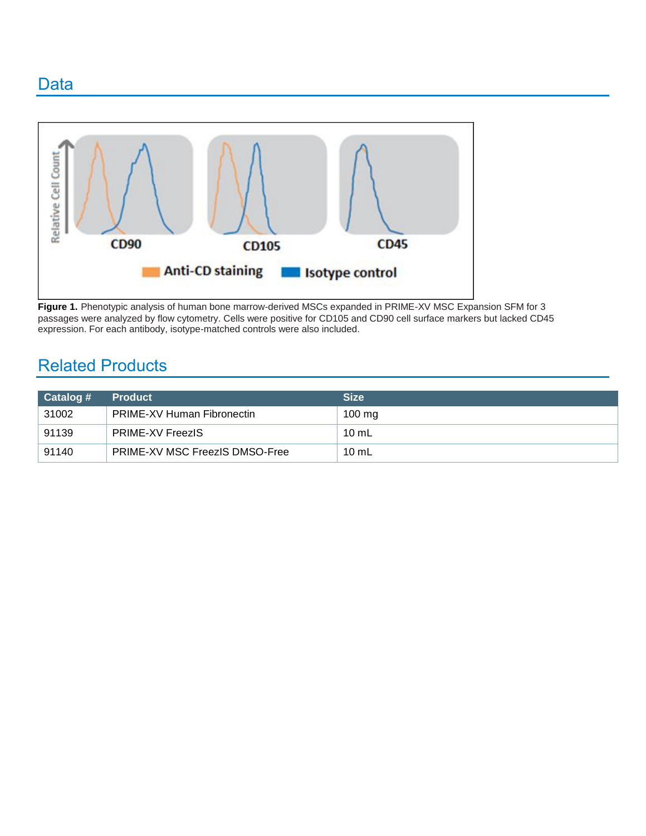### Data



**Figure 1.** Phenotypic analysis of human bone marrow-derived MSCs expanded in PRIME-XV MSC Expansion SFM for 3 passages were analyzed by flow cytometry. Cells were positive for CD105 and CD90 cell surface markers but lacked CD45 expression. For each antibody, isotype-matched controls were also included.

## Related Products

| Catalog # | <b>Product</b>                        | <b>Size</b>      |
|-----------|---------------------------------------|------------------|
| 31002     | <b>PRIME-XV Human Fibronectin</b>     | $100 \text{ mg}$ |
| 91139     | <b>PRIME-XV FreezIS</b>               | $10 \text{ mL}$  |
| 91140     | <b>PRIME-XV MSC FreezIS DMSO-Free</b> | 10 $mL$          |